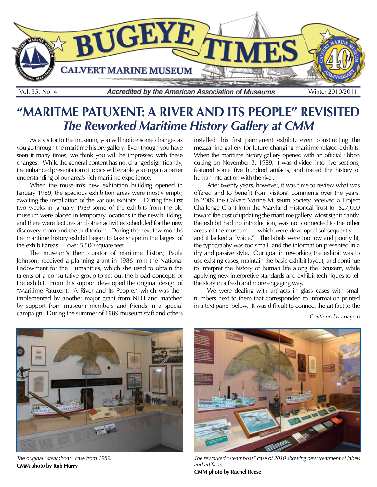

# **"MARITME PATUXENT: A RIVER AND ITS PEOPLE" REVISITED** *The Reworked Maritime History Gallery at CMM*

As a visitor to the museum, you will notice some changes as you go through the maritime history gallery. Even though you have seen it many times, we think you will be impressed with these changes. While the general content has not changed significantly, the enhanced presentation of topics will enable you to gain a better understanding of our area's rich maritime experience.

When the museum's new exhibition building opened in January 1989, the spacious exhibition areas were mostly empty, awaiting the installation of the various exhibits. During the first two weeks in January 1989 some of the exhibits from the old museum were placed in temporary locations in the new building, and there were lectures and other activities scheduled for the new discovery room and the auditorium. During the next few months the maritime history exhibit began to take shape in the largest of the exhibit areas — over 5,500 square feet.

The museum's then curator of maritime history, Paula Johnson, received a planning grant in 1986 from the National Endowment for the Humanities, which she used to obtain the talents of a consultative group to set out the broad concepts of the exhibit. From this support developed the original design of "Maritime Patuxent: A River and Its People," which was then implemented by another major grant from NEH and matched by support from museum members and friends in a special campaign. During the summer of 1989 museum staff and others

installed this first permanent exhibit, even constructing the mezzanine gallery for future changing maritime-related exhibits. When the maritime history gallery opened with an official ribbon cutting on November 3, 1989, it was divided into five sections, featured some five hundred artifacts, and traced the history of human interaction with the river.

After twenty years, however, it was time to review what was offered and to benefit from visitors' comments over the years. In 2009 the Calvert Marine Museum Society received a Project Challenge Grant from the Maryland Historical Trust for \$27,000 toward the cost of updating the maritime gallery. Most significantly, the exhibit had no introduction, was not connected to the other areas of the museum — which were developed subsequently and it lacked a "voice." The labels were too low and poorly lit, the typography was too small, and the information presented in a dry and passive style. Our goal in reworking the exhibit was to use existing cases, maintain the basic exhibit layout, and continue to interpret the history of human life along the Patuxent, while applying new interpretive standards and exhibit techniques to tell the story in a fresh and more engaging way.

We were dealing with artifacts in glass cases with small numbers next to them that corresponded to information printed in a text panel below. It was difficult to connect the artifact to the

*Continued on page 6*



*The original "steamboat" case from 1989.* **CMM photo by Rob Hurry**



*The reworked "steamboat" case of 2010 showing new treatment of labels and artifacts.* **CMM photo by Rachel Reese**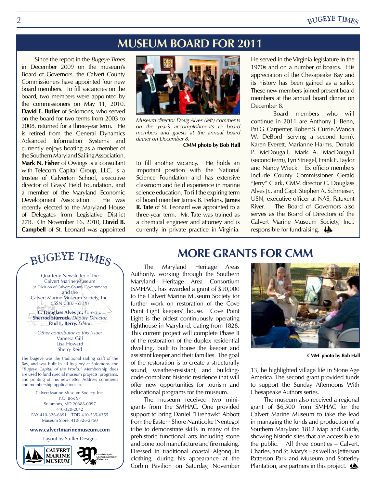#### **BUGEYE TIMES**

### **MUSEUM BOARD FOR 2011**

Since the report in the *Bugeye Times*  in December 2009 on the museum's Board of Governors, the Calvert County Commissioners have appointed four new board members. To fill vacancies on the board, two members were appointed by the commissioners on May 11, 2010. **David E. Butler** of Solomons, who served on the board for two terms from 2003 to 2008, returned for a three-year term. He is retired from the General Dynamics Advanced Information Systems and currently enjoys boating as a member of the Southern Maryland Sailing Association. **Mark N. Fisher** of Owings is a consultant with Telecom Capital Group, LLC, is a trustee of Calverton School, executive director of Grays' Field Foundation, and a member of the Maryland Economic Development Association. He was recently elected to the Maryland House of Delegates from Legislative District 27B. On November 16, 2010, **David B. Campbell** of St. Leonard was appointed



*Museum director Doug Alves (left) comments on the year's accomplishments to board members and guests at the annual board dinner on December 8.*

**CMM photo by Bob Hall**

to fill another vacancy. He holds an important position with the National Science Foundation and has extensive classroom and field experience in marine science education. To fill the expiring term of board member James B. Perkins, **James R. Tate** of St. Leonard was appointed to a three-year term. Mr. Tate was trained as a chemical engineer and attorney and is currently in private practice in Virginia.

He served in the Virginia legislature in the 1970s and on a number of boards. His appreciation of the Chesapeake Bay and its history has been gained as a sailor. These new members joined present board members at the annual board dinner on December 8.

Board members who will continue in 2011 are Anthony J. Benn, Pat G. Carpenter, Robert S. Currie, Wanda W. DeBord (serving a second term), Karen Everett, Marianne Harms, Donald P. McDougall, Mark A. MacDougall (second term), Lyn Striegel, Frank E. Taylor and Nancy Wieck. Ex officio members include County Commissioner Gerald "Jerry" Clark, CMM director C. Douglass Alves Jr., and Capt. Stephen A. Schmeiser, USN, executive officer at NAS, Patuxent River. The Board of Governors also serves as the Board of Directors of the Calvert Marine Museum Society, Inc., responsible for fundraising.  $\triangle$ 

## BUGEYE TIMES

Quarterly Newsletter of the Calvert Marine Museum (A Division of Calvert County Government) and the Calvert Marine Museum Society, Inc. (ISSN 0887-651X)

**C. Douglass Alves Jr.,** *Director* **Sherrod Sturrock,** *Deputy Director* **Paul L. Berry,** *Editor*

*Other contributor to this issue:* Vanessa Gill Lisa Howard Sherry Reid

The bugeye was the traditional sailing craft of the Bay, and was built in all its glory at Solomons, the *"Bugeye Capital of the World."* Membership dues are used to fund special museum projects, programs, and printing of this newsletter. Address comments and membership applications to:

Calvert Marine Museum Society, Inc. P.O. Box 97 Solomons, MD 20688-0097 410-320-2042 FAX 410-326-6691 TDD 410-535-6355 Museum Store: 410-326-2750

#### **www.calvertmarinemuseum.com**

Layout by Stuller Designs



#### **MORE GRANTS FOR CMM**

The Maryland Heritage Areas Authority, working through the Southern Maryland Heritage Area Consortium (SMHAC), has awarded a grant of \$90,000 to the Calvert Marine Museum Society for further work on restoration of the Cove Point Light keepers' house. Cove Point Light is the oldest continuously operating lighthouse in Maryland, dating from 1828. This current project will complete Phase II of the restoration of the duplex residential dwelling, built to house the keeper and assistant keeper and their families. The goal of the restoration is to create a structurally sound, weather-resistant, and buildingcode-compliant historic residence that will offer new opportunities for tourism and educational programs for the museum.

The museum received two minigrants from the SMHAC. One provided support to bring Daniel "Firehawk" Abbott from the Eastern Shore Nanticoke (Nentego) tribe to demonstrate skills in many of the prehistoric functional arts including stone and bone tool manufacture and fire making. Dressed in traditional coastal Algonquin clothing, during his appearance at the Corbin Pavilion on Saturday, November



**CMM photo by Bob Hall**

13, he highlighted village life in Stone Age America. The second grant provided funds to support the Sunday Afternoons With Chesapeake Authors series.

The museum also received a regional grant of \$6,500 from SMHAC for the Calvert Marine Museum to take the lead in managing the funds and production of a Southern Maryland 1812 Map and Guide, showing historic sites that are accessible to the public. All three counties – Calvert, Charles, and St. Mary's – as well as Jefferson Patterson Park and Museum and Sotterley Plantation, are partners in this project.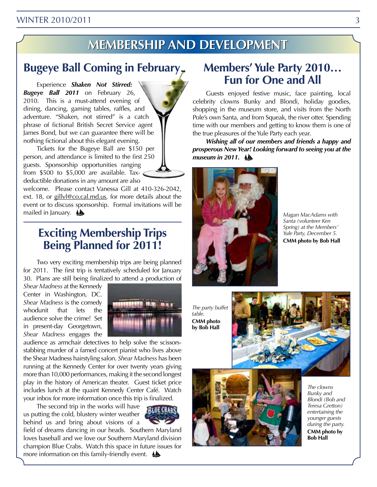#### WINTER 2010/2011 3

# **Membership embershipand and Development evelopment**

### **Bugeye Ball Coming in February**

Experience *Shaken Not Stirred: Bugeye Ball 2011* on February 26, 2010. This is a must-attend evening of dining, dancing, gaming tables, raffles, and adventure. "Shaken, not stirred" is a catch phrase of fictional British Secret Service agent James Bond, but we can guarantee there will be nothing fictional about this elegant evening.

Tickets for the Bugeye Ball are \$150 per person, and attendance is limited to the first 250 guests. Sponsorship opportunities ranging from \$500 to \$5,000 are available. Taxdeductible donations in any amount are also

welcome. Please contact Vanessa Gill at 410-326-2042, ext. 18, or gillyl@co.cal.md.us, for more details about the event or to discuss sponsorship. Formal invitations will be mailed in January.

### **Exciting Membership Trips Being Planned for 2011!**

Two very exciting membership trips are being planned for 2011. The first trip is tentatively scheduled for January 30. Plans are still being finalized to attend a production of

*Shear Madness* at the Kennedy Center in Washington, DC. *Shear Madness* is the comedy whodunit that lets the audience solve the crime! Set in present-day Georgetown, *Shear Madness* engages the



audience as armchair detectives to help solve the scissorsstabbing murder of a famed concert pianist who lives above the Shear Madness hairstyling salon. *Shear Madness* has been running at the Kennedy Center for over twenty years giving more than 10,000 performances, making it the second longest play in the history of American theater. Guest ticket price includes lunch at the quaint Kennedy Center Café. Watch your inbox for more information once this trip is finalized.

The second trip in the works will have us putting the cold, blustery winter weather behind us and bring about visions of a



field of dreams dancing in our heads. Southern Maryland loves baseball and we love our Southern Maryland division champion Blue Crabs. Watch this space in future issues for more information on this family-friendly event.

### **Members' Yule Party 2010… Fun for One and All**

Guests enjoyed festive music, face painting, local celebrity clowns Bunky and Blondi, holiday goodies, shopping in the museum store, and visits from the North Pole's own Santa, and from Squeak, the river otter. Spending time with our members and getting to know them is one of the true pleasures of the Yule Party each year.

*Wishing all of our members and friends a happy and prosperous New Year! Looking forward to seeing you at the museum in 2011.*



*Magan MacAdams with Santa (volunteer Ken Spring) at the Members' Yule Party, December 5.*  **CMM photo by Bob Hall**

*The party buffet table.* **CMM photo by Bob Hall**





*The clowns Bunky and Blondi (Bob and Teresa Gretton) entertaining the younger guests during the party.* **CMM photo by Bob Hall**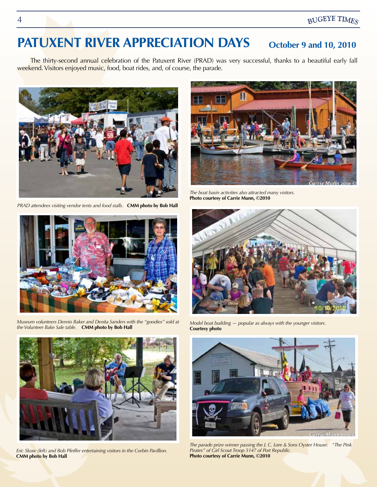# PATUXENT RIVER APPRECIATION DAYS October 9 and 10, 2010

The thirty-second annual celebration of the Patuxent River (PRAD) was very successful, thanks to a beautiful early fall weekend. Visitors enjoyed music, food, boat rides, and, of course, the parade.



*PRAD attendees visiting vendor tents and food stalls.* **CMM photo by Bob Hall**



*Museum volunteers Dennis Baker and Denita Sanders with the "goodies" sold at the Volunteer Bake Sale table.* **CMM photo by Bob Hall**



*The boat basin activities also attracted many visitors.*  **Photo courtesy of Carrie Munn, ©2010**



*Model boat building — popular as always with the younger visitors.*  **Courtesy photo**



*Eric Skow (left) and Bob Pfeiffer entertaining visitors in the Corbin Pavillion.*  **CMM photo by Bob Hall**



*The parade prize winner passing the J. C. Lore & Sons Oyster House: "The Pink Pirates" of Girl Scout Troop 5147 of Port Republic.*  **Photo courtesy of Carrie Munn, ©2010**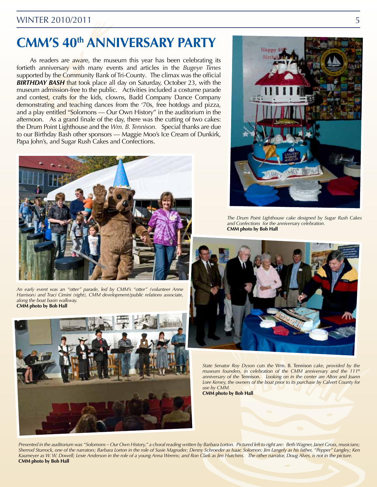#### WINTER 2010/2011  $\frac{5}{5}$

# **CMM'S 40th ANNIVERSARY PARTY**

As readers are aware, the museum this year has been celebrating its fortieth anniversary with many events and articles in the *Bugeye Times*  supported by the Community Bank of Tri-County*.* The climax was the official *BIRTHDAY BASH* that took place all day on Saturday, October 23, with the museum admission-free to the public. Activities included a costume parade and contest, crafts for the kids, clowns, Badd Company Dance Company demonstrating and teaching dances from the '70s, free hotdogs and pizza, and a play entitled "Solomons — Our Own History" in the auditorium in the afternoon. As a grand finale of the day, there was the cutting of two cakes: the Drum Point Lighthouse and the *Wm. B. Tennison.* Special thanks are due to our Birthday Bash other sponsors — Maggie Moo's Ice Cream of Dunkirk, Papa John's, and Sugar Rush Cakes and Confections.



*An early event was an "otter" parade, led by CMM's "otter" (volunteer Anne Harrison) and Traci Cimini (right), CMM development/public relations associate, along the boat basin walkway.*  **CMM photo by Bob Hall**





*The Drum Point Lighthouse cake designed by Sugar Rush Cakes and Confections for the anniversary celebration.* **CMM photo by Bob Hall**



*State Senator Roy Dyson cuts the* Wm. B. Tennison *cake, provided by the museum founders, in celebration of the CMM anniversary and the 111th anniversary of the* Tennison*. Looking on in the center are Alton and Joann*  Lore Kersey, the owners of the boat prior to its purchase by Calvert County for *use by CMM.*

**CMM photo by Bob Hall**

*Presented in the auditorium was "Solomons – Our Own History," a choral reading written by Barbara Lorton. Pictured left to right are: Beth Wagner, Janet Gross, musicians; Sherrod Sturrock, one of the narrators; Barbara Lorton in the role of Susie Magruder; Denny Schroeder as Isaac Solomon; Jim Langely as his father, "Pepper" Langley; Ken*  Kaumeyer as W. W. Dowell; Lexie Anderson in the role of a young Anna Weems; and Ron Clark as Jim Hutchins. The other narrator, Doug Alves, is not in the picture. **CMM photo by Bob Hall**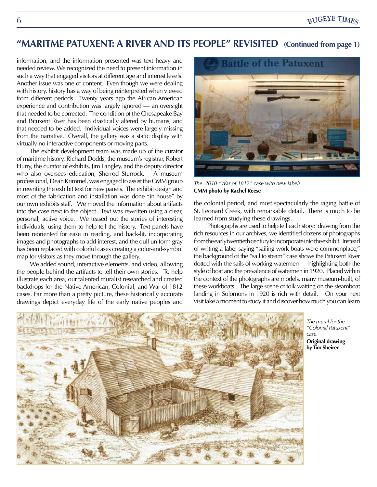### **"MARITME PATUXENT: A RIVER AND ITS PEOPLE" REVISITED (Continued from page 1)**

information, and the information presented was text heavy and needed review. We recognized the need to present information in such a way that engaged visitors at different age and interest levels. Another issue was one of content. Even though we were dealing with history, history has a way of being reinterpreted when viewed from different periods. Twenty years ago the African-American experience and contribution was largely ignored — an oversight that needed to be corrected. The condition of the Chesapeake Bay and Patuxent River has been drastically altered by humans, and that needed to be added. Individual voices were largely missing from the narrative. Overall, the gallery was a static display with virtually no interactive components or moving parts.

The exhibit development team was made up of the curator of maritime history, Richard Dodds, the museum's registrar, Robert Hurry, the curator of exhibits, Jim Langley, and the deputy director who also oversees education, Sherrod Sturrock. A museum professional, Dean Krimmel, was engaged to assist the CMM group in rewriting the exhibit text for new panels. The exhibit design and most of the fabrication and installation was done "in-house" by our own exhibits staff. We moved the information about artifacts into the case next to the object. Text was rewritten using a clear, personal, active voice. We teased out the stories of interesting individuals, using them to help tell the history. Text panels have been reoriented for ease in reading, and back-lit, incorporating images and photographs to add interest, and the dull uniform gray has been replaced with colorful cases creating a color-and-symbol map for visitors as they move through the gallery.

We added sound, interactive elements, and video, allowing the people behind the artifacts to tell their own stories. To help illustrate each area, our talented muralist researched and created backdrops for the Native American, Colonial, and War of 1812 cases. Far more than a pretty picture, these historically accurate drawings depict everyday life of the early native peoples and



*The 2010 "War of 1812" case with new labels.*  **CMM photo by Rachel Reese**

the colonial period, and most spectacularly the raging battle of St. Leonard Creek, with remarkable detail. There is much to be learned from studying these drawings.

Photographs are used to help tell each story: drawing from the rich resources in our archives, we identified dozens of photographs from the early twentieth century to incorporate into the exhibit. Instead of writing a label saying "sailing work boats were commonplace," the background of the "sail to steam" case shows the Patuxent River dotted with the sails of working watermen — highlighting both the style of boat and the prevalence of watermen in 1920. Placed within the context of the photographs are models, many museum-built, of these workboats. The large scene of folk waiting on the steamboat landing in Solomons in 1920 is rich with detail. On your next visit take a moment to study it and discover how much you can learn



*The mural for the "Colonial Patuxent" case.* **Original drawing by Tim Sheirer**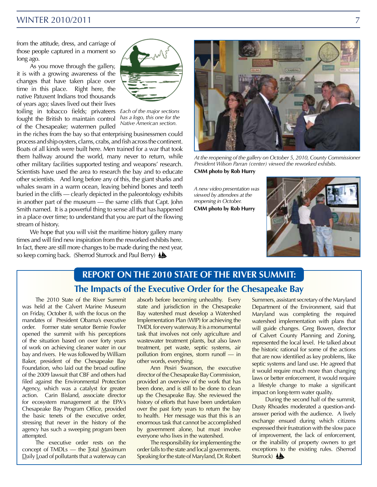#### WINTER 2010/2011

from the attitude, dress, and carriage of those people captured in a moment so long ago.

As you move through the gallery, it is with a growing awareness of the changes that have taken place over time in this place. Right here, the native Patuxent Indians trod thousands of years ago; slaves lived out their lives toiling in tobacco fields; privateers *Each of the major sections*  fought the British to maintain control of the Chesapeake; watermen pulled



*has a logo, this one for the Native American section.*

in the riches from the bay so that enterprising businessmen could process and ship oysters, clams, crabs, and fish across the continent. Boats of all kinds were built here. Men trained for a war that took them halfway around the world, many never to return, while other military facilities supported testing and weapons' research. Scientists have used the area to research the bay and to educate other scientists. And long before any of this, the giant sharks and whales swam in a warm ocean, leaving behind bones and teeth buried in the cliffs — clearly depicted in the paleontology exhibits in another part of the museum — the same cliffs that Capt. John Smith named. It is a powerful thing to sense all that has happened in a place over time; to understand that you are part of the flowing stream of history.

We hope that you will visit the maritime history gallery many times and will find new inspiration from the reworked exhibits here. In fact, there are still more changes to be made during the next year, so keep coming back. (Sherrod Sturrock and Paul Berry)  $\triangle$ 



*At the reopening of the gallery on October 5, 2010, County Commissioner President Wilson Parran (center) viewed the reworked exhibits.*

**CMM photo by Rob Hurry**

*A new video presentation was viewed by attendees at the reopening in October.* **CMM photo by Rob Hurry**



### **The Impacts of the Executive Order for the Chesapeake Bay REPORT ON THE 2010 STATE OF THE RIVER SUMMIT:**

The 2010 State of the River Summit was held at the Calvert Marine Museum on Friday, October 8, with the focus on the mandates of President Obama's executive order. Former state senator Bernie Fowler opened the summit with his perceptions of the situation based on over forty years of work on achieving cleaner water in our bay and rivers. He was followed by William Baker, president of the Chesapeake Bay Foundation, who laid out the broad outline of the 2009 lawsuit that CBF and others had filed against the Environmental Protection Agency, which was a catalyst for greater action. Carin Bisland, associate director for ecosystem management at the EPA's Chesapeake Bay Program Office, provided the basic tenets of the executive order, stressing that never in the history of the agency has such a sweeping program been attempted.

The executive order rests on the concept of TMDLs — the Total Maximum Daily Load of pollutants that a waterway can absorb before becoming unhealthy. Every state and jurisdiction in the Chesapeake Bay watershed must develop a Watershed Implementation Plan (WIP) for achieving the TMDL for every waterway. It is a monumental task that involves not only agriculture and wastewater treatment plants, but also lawn treatment, pet waste, septic systems, air pollution from engines, storm runoff — in other words, everything.

Ann Pesiri Swanson, the executive director of the Chesapeake Bay Commission, provided an overview of the work that has been done, and is still to be done to clean up the Chesapeake Bay. She reviewed the history of efforts that have been undertaken over the past forty years to return the bay to health. Her message was that this is an enormous task that cannot be accomplished by government alone, but must involve everyone who lives in the watershed.

The responsibility for implementing the order falls to the state and local governments. Speaking for the state of Maryland, Dr. Robert

Summers, assistant secretary of the Maryland Department of the Environment, said that Maryland was completing the required watershed implementation with plans that will guide changes. Greg Bowen, director of Calvert County Planning and Zoning, represented the local level. He talked about the historic rational for some of the actions that are now identified as key problems, like septic systems and land use. He agreed that it would require much more than changing laws or better enforcement, it would require a lifestyle change to make a significant impact on long-term water quality.

During the second half of the summit, Dusty Rhoades moderated a question-andanswer period with the audience. A lively exchange ensued during which citizens expressed their frustration with the slow pace of improvement, the lack of enforcement, or the inability of property owners to get exceptions to the existing rules. (Sherrod Sturrock) <a>